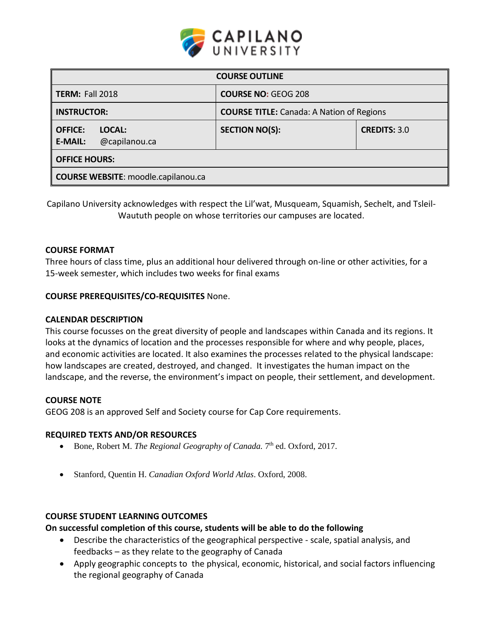

| <b>COURSE OUTLINE</b>                                       |                                                  |                     |  |  |
|-------------------------------------------------------------|--------------------------------------------------|---------------------|--|--|
| <b>TERM: Fall 2018</b>                                      | <b>COURSE NO: GEOG 208</b>                       |                     |  |  |
| <b>INSTRUCTOR:</b>                                          | <b>COURSE TITLE:</b> Canada: A Nation of Regions |                     |  |  |
| <b>OFFICE:</b><br>LOCAL:<br><b>E-MAIL:</b><br>@capilanou.ca | <b>SECTION NO(S):</b>                            | <b>CREDITS: 3.0</b> |  |  |
| <b>OFFICE HOURS:</b>                                        |                                                  |                     |  |  |
| <b>COURSE WEBSITE: moodle.capilanou.ca</b>                  |                                                  |                     |  |  |

Capilano University acknowledges with respect the Lil'wat, Musqueam, Squamish, Sechelt, and Tsleil-Waututh people on whose territories our campuses are located.

### **COURSE FORMAT**

Three hours of class time, plus an additional hour delivered through on-line or other activities, for a 15-week semester, which includes two weeks for final exams

### **COURSE PREREQUISITES/CO-REQUISITES** None.

#### **CALENDAR DESCRIPTION**

This course focusses on the great diversity of people and landscapes within Canada and its regions. It looks at the dynamics of location and the processes responsible for where and why people, places, and economic activities are located. It also examines the processes related to the physical landscape: how landscapes are created, destroyed, and changed. It investigates the human impact on the landscape, and the reverse, the environment's impact on people, their settlement, and development.

#### **COURSE NOTE**

GEOG 208 is an approved Self and Society course for Cap Core requirements.

# **REQUIRED TEXTS AND/OR RESOURCES**

- Bone, Robert M. *The Regional Geography of Canada*. 7<sup>th</sup> ed. Oxford, 2017.
- Stanford, Quentin H. *Canadian Oxford World Atlas*. Oxford, 2008.

# **COURSE STUDENT LEARNING OUTCOMES**

# **On successful completion of this course, students will be able to do the following**

- Describe the characteristics of the geographical perspective scale, spatial analysis, and feedbacks – as they relate to the geography of Canada
- Apply geographic concepts to the physical, economic, historical, and social factors influencing the regional geography of Canada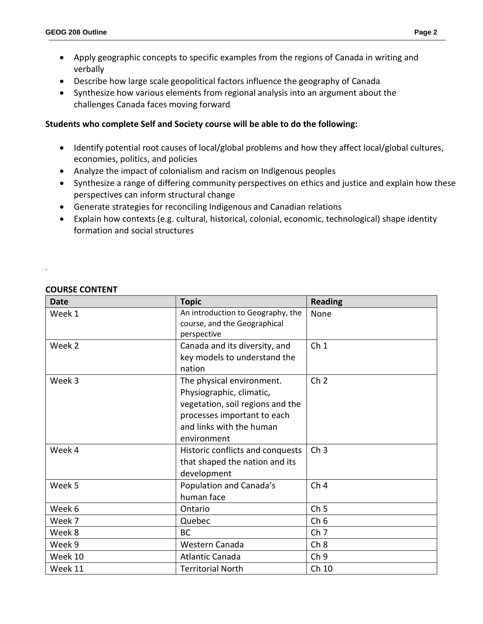- Apply geographic concepts to specific examples from the regions of Canada in writing and verbally
- Describe how large scale geopolitical factors influence the geography of Canada
- Synthesize how various elements from regional analysis into an argument about the challenges Canada faces moving forward

# **Students who complete Self and Society course will be able to do the following:**

- Identify potential root causes of local/global problems and how they affect local/global cultures, economies, politics, and policies
- Analyze the impact of colonialism and racism on Indigenous peoples
- Synthesize a range of differing community perspectives on ethics and justice and explain how these perspectives can inform structural change
- Generate strategies for reconciling Indigenous and Canadian relations
- Explain how contexts (e.g. cultural, historical, colonial, economic, technological) shape identity formation and social structures

# **COURSE CONTENT**

.

| <b>Topic</b><br><b>Date</b>                     |                                                                                                                                                                     | <b>Reading</b>  |  |
|-------------------------------------------------|---------------------------------------------------------------------------------------------------------------------------------------------------------------------|-----------------|--|
| Week 1                                          | An introduction to Geography, the<br>course, and the Geographical<br>perspective                                                                                    | None            |  |
| Week 2                                          | Canada and its diversity, and<br>key models to understand the<br>nation                                                                                             | Ch <sub>1</sub> |  |
| Week 3                                          | The physical environment.<br>Physiographic, climatic,<br>vegetation, soil regions and the<br>processes important to each<br>and links with the human<br>environment | Ch <sub>2</sub> |  |
| Week 4                                          | Historic conflicts and conquests<br>that shaped the nation and its<br>development                                                                                   | Ch <sub>3</sub> |  |
| Week 5<br>Population and Canada's<br>human face |                                                                                                                                                                     | Ch <sub>4</sub> |  |
| Week 6                                          | Ontario                                                                                                                                                             | Ch <sub>5</sub> |  |
| Week 7                                          | Quebec                                                                                                                                                              | Ch <sub>6</sub> |  |
| Week 8                                          | <b>BC</b>                                                                                                                                                           | Ch <sub>7</sub> |  |
| Week 9                                          | Western Canada                                                                                                                                                      | Ch 8            |  |
| Week 10                                         | <b>Atlantic Canada</b>                                                                                                                                              | Ch <sub>9</sub> |  |
| Week 11                                         | <b>Territorial North</b>                                                                                                                                            | Ch 10           |  |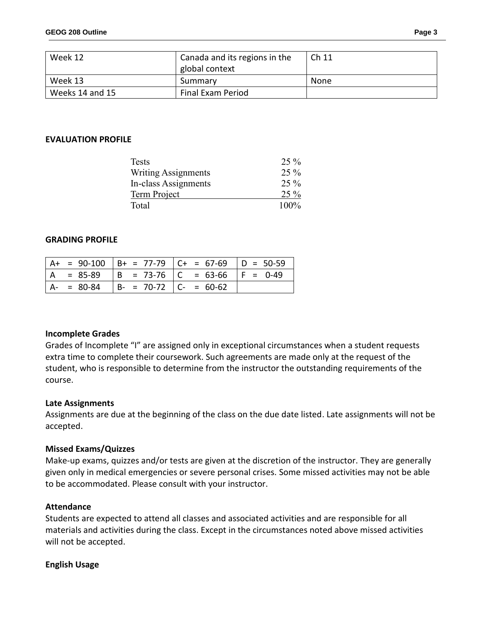| Week 12         | Canada and its regions in the | Ch 11 |
|-----------------|-------------------------------|-------|
|                 | global context                |       |
| Week 13         | Summary                       | None  |
| Weeks 14 and 15 | Final Exam Period             |       |

#### **EVALUATION PROFILE**

| Tests                      | $25\%$ |
|----------------------------|--------|
| <b>Writing Assignments</b> | $25\%$ |
| In-class Assignments       | $25\%$ |
| Term Project               | 25 %   |
| Total                      | 100%   |

#### **GRADING PROFILE**

|               |                             | $A+ = 90-100$ $B+ = 77-79$ $C+ = 67-69$ $D = 50-59$ |  |
|---------------|-----------------------------|-----------------------------------------------------|--|
|               |                             | $= 85-89$  B = 73-76  C = 63-66  F = 0-49           |  |
| $A - = 80-84$ | $ B- = 70-72$ $ C- = 60-62$ |                                                     |  |

#### **Incomplete Grades**

Grades of Incomplete "I" are assigned only in exceptional circumstances when a student requests extra time to complete their coursework. Such agreements are made only at the request of the student, who is responsible to determine from the instructor the outstanding requirements of the course.

#### **Late Assignments**

Assignments are due at the beginning of the class on the due date listed. Late assignments will not be accepted.

#### **Missed Exams/Quizzes**

Make-up exams, quizzes and/or tests are given at the discretion of the instructor. They are generally given only in medical emergencies or severe personal crises. Some missed activities may not be able to be accommodated. Please consult with your instructor.

#### **Attendance**

Students are expected to attend all classes and associated activities and are responsible for all materials and activities during the class. Except in the circumstances noted above missed activities will not be accepted.

# **English Usage**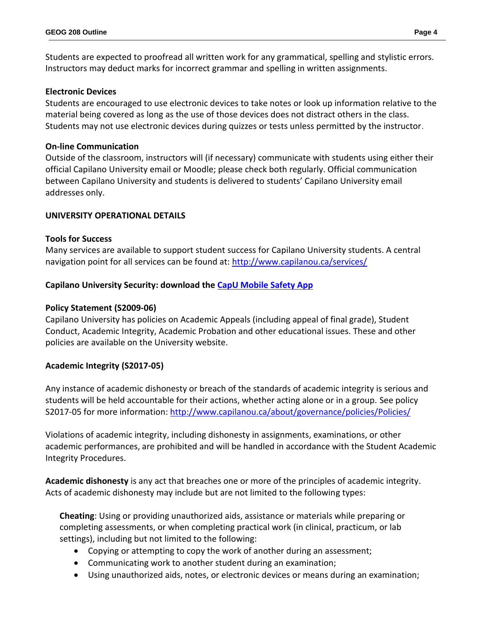Students are expected to proofread all written work for any grammatical, spelling and stylistic errors. Instructors may deduct marks for incorrect grammar and spelling in written assignments.

### **Electronic Devices**

Students are encouraged to use electronic devices to take notes or look up information relative to the material being covered as long as the use of those devices does not distract others in the class. Students may not use electronic devices during quizzes or tests unless permitted by the instructor.

### **On-line Communication**

Outside of the classroom, instructors will (if necessary) communicate with students using either their official Capilano University email or Moodle; please check both regularly. Official communication between Capilano University and students is delivered to students' Capilano University email addresses only.

### **UNIVERSITY OPERATIONAL DETAILS**

# **Tools for Success**

Many services are available to support student success for Capilano University students. A central navigation point for all services can be found at:<http://www.capilanou.ca/services/>

### **Capilano University Security: download the [CapU Mobile Safety App](https://www.capilanou.ca/services/safety-security/CapU-Mobile-Safety-App/)**

#### **Policy Statement (S2009-06)**

Capilano University has policies on Academic Appeals (including appeal of final grade), Student Conduct, Academic Integrity, Academic Probation and other educational issues. These and other policies are available on the University website.

# **Academic Integrity (S2017-05)**

Any instance of academic dishonesty or breach of the standards of academic integrity is serious and students will be held accountable for their actions, whether acting alone or in a group. See policy S2017-05 for more information: <http://www.capilanou.ca/about/governance/policies/Policies/>

Violations of academic integrity, including dishonesty in assignments, examinations, or other academic performances, are prohibited and will be handled in accordance with the Student Academic Integrity Procedures.

**Academic dishonesty** is any act that breaches one or more of the principles of academic integrity. Acts of academic dishonesty may include but are not limited to the following types:

**Cheating**: Using or providing unauthorized aids, assistance or materials while preparing or completing assessments, or when completing practical work (in clinical, practicum, or lab settings), including but not limited to the following:

- Copying or attempting to copy the work of another during an assessment;
- Communicating work to another student during an examination;
- Using unauthorized aids, notes, or electronic devices or means during an examination;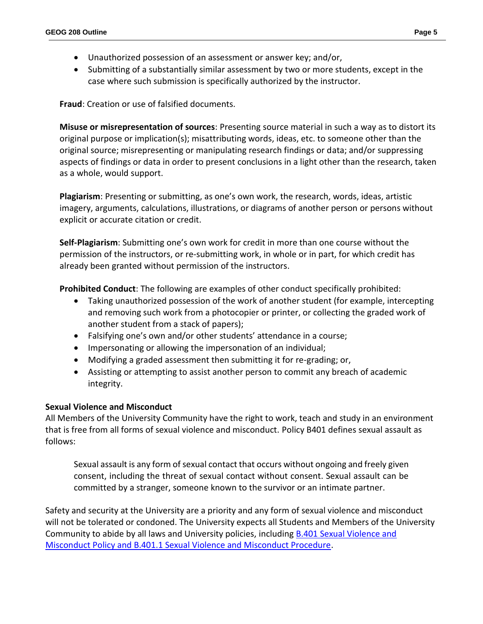- Unauthorized possession of an assessment or answer key; and/or,
- Submitting of a substantially similar assessment by two or more students, except in the case where such submission is specifically authorized by the instructor.

**Fraud**: Creation or use of falsified documents.

**Misuse or misrepresentation of sources**: Presenting source material in such a way as to distort its original purpose or implication(s); misattributing words, ideas, etc. to someone other than the original source; misrepresenting or manipulating research findings or data; and/or suppressing aspects of findings or data in order to present conclusions in a light other than the research, taken as a whole, would support.

**Plagiarism**: Presenting or submitting, as one's own work, the research, words, ideas, artistic imagery, arguments, calculations, illustrations, or diagrams of another person or persons without explicit or accurate citation or credit.

**Self-Plagiarism**: Submitting one's own work for credit in more than one course without the permission of the instructors, or re-submitting work, in whole or in part, for which credit has already been granted without permission of the instructors.

**Prohibited Conduct**: The following are examples of other conduct specifically prohibited:

- Taking unauthorized possession of the work of another student (for example, intercepting and removing such work from a photocopier or printer, or collecting the graded work of another student from a stack of papers);
- Falsifying one's own and/or other students' attendance in a course;
- Impersonating or allowing the impersonation of an individual;
- Modifying a graded assessment then submitting it for re-grading; or,
- Assisting or attempting to assist another person to commit any breach of academic integrity.

# **Sexual Violence and Misconduct**

All Members of the University Community have the right to work, teach and study in an environment that is free from all forms of sexual violence and misconduct. Policy B401 defines sexual assault as follows:

Sexual assault is any form of sexual contact that occurs without ongoing and freely given consent, including the threat of sexual contact without consent. Sexual assault can be committed by a stranger, someone known to the survivor or an intimate partner.

Safety and security at the University are a priority and any form of sexual violence and misconduct will not be tolerated or condoned. The University expects all Students and Members of the University Community to abide by all laws and University policies, including [B.401 Sexual Violence and](https://www.capilanou.ca/SVM/)  [Misconduct Policy and B.401.1 Sexual Violence and Misconduct Procedure.](https://www.capilanou.ca/SVM/)